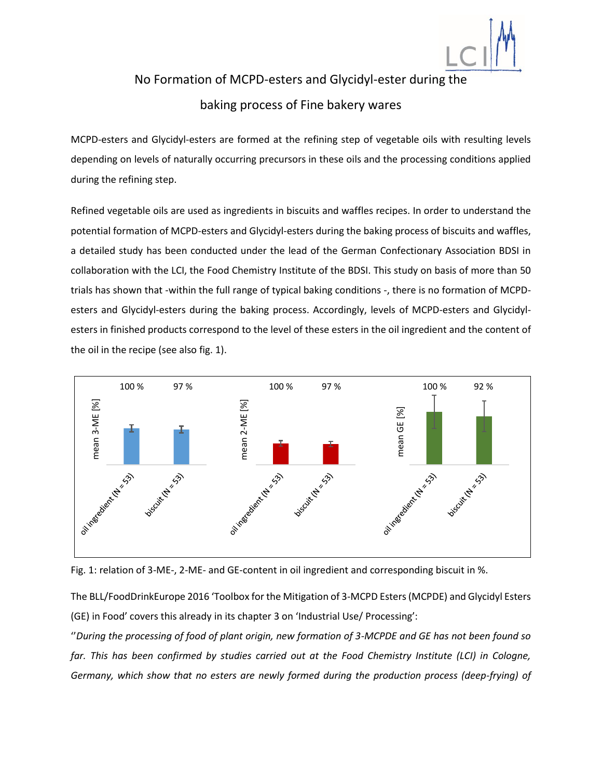

## No Formation of MCPD-esters and Glycidyl-ester during the baking process of Fine bakery wares

MCPD-esters and Glycidyl-esters are formed at the refining step of vegetable oils with resulting levels depending on levels of naturally occurring precursors in these oils and the processing conditions applied during the refining step.

Refined vegetable oils are used as ingredients in biscuits and waffles recipes. In order to understand the potential formation of MCPD-esters and Glycidyl-esters during the baking process of biscuits and waffles, a detailed study has been conducted under the lead of the German Confectionary Association BDSI in collaboration with the LCI, the Food Chemistry Institute of the BDSI. This study on basis of more than 50 trials has shown that -within the full range of typical baking conditions -, there is no formation of MCPDesters and Glycidyl-esters during the baking process. Accordingly, levels of MCPD-esters and Glycidylesters in finished products correspond to the level of these esters in the oil ingredient and the content of the oil in the recipe (see also fig. 1).





The BLL/FoodDrinkEurope 2016 'Toolbox for the Mitigation of 3-MCPD Esters (MCPDE) and Glycidyl Esters (GE) in Food' covers this already in its chapter 3 on 'Industrial Use/ Processing':

''*During the processing of food of plant origin, new formation of 3-MCPDE and GE has not been found so*  far. This has been confirmed by studies carried out at the Food Chemistry Institute (LCI) in Cologne,